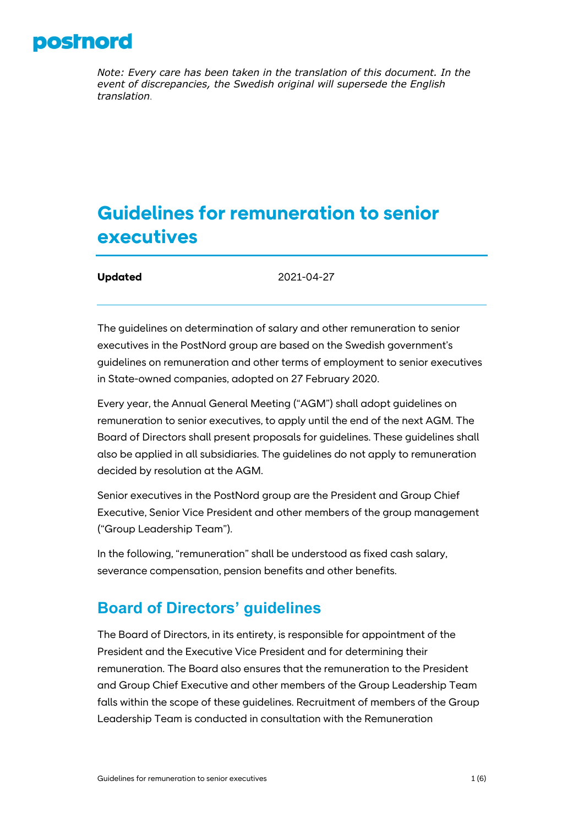

*Note: Every care has been taken in the translation of this document. In the event of discrepancies, the Swedish original will supersede the English translation*.

# **Guidelines for remuneration to senior executives**

**Updated** 2021-04-27

The guidelines on determination of salary and other remuneration to senior executives in the PostNord group are based on the Swedish government's guidelines on remuneration and other terms of employment to senior executives in State-owned companies, adopted on 27 February 2020.

Every year, the Annual General Meeting ("AGM") shall adopt guidelines on remuneration to senior executives, to apply until the end of the next AGM. The Board of Directors shall present proposals for guidelines. These guidelines shall also be applied in all subsidiaries. The guidelines do not apply to remuneration decided by resolution at the AGM.

Senior executives in the PostNord group are the President and Group Chief Executive, Senior Vice President and other members of the group management ("Group Leadership Team").

In the following, "remuneration" shall be understood as fixed cash salary, severance compensation, pension benefits and other benefits.

## **Board of Directors' guidelines**

The Board of Directors, in its entirety, is responsible for appointment of the President and the Executive Vice President and for determining their remuneration. The Board also ensures that the remuneration to the President and Group Chief Executive and other members of the Group Leadership Team falls within the scope of these guidelines. Recruitment of members of the Group Leadership Team is conducted in consultation with the Remuneration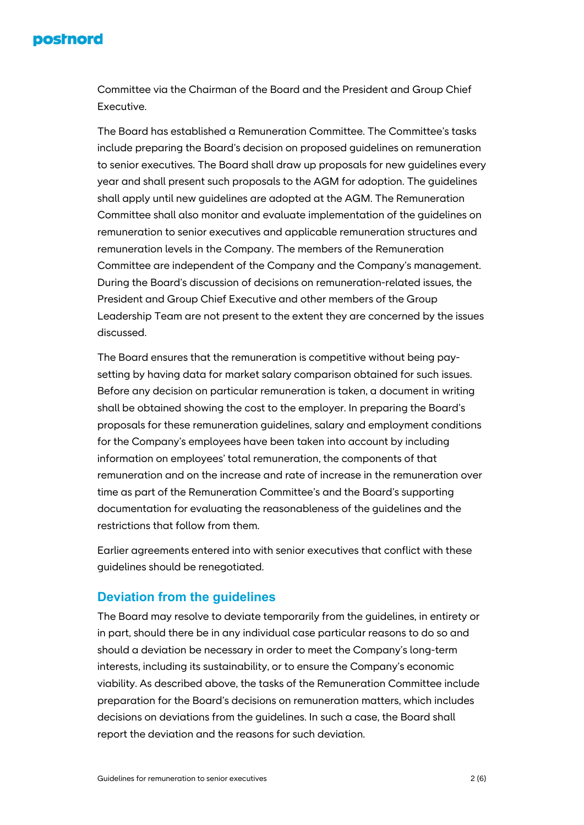#### **postnord**

Committee via the Chairman of the Board and the President and Group Chief **Executive.** 

The Board has established a Remuneration Committee. The Committee's tasks include preparing the Board's decision on proposed guidelines on remuneration to senior executives. The Board shall draw up proposals for new guidelines every year and shall present such proposals to the AGM for adoption. The guidelines shall apply until new guidelines are adopted at the AGM. The Remuneration Committee shall also monitor and evaluate implementation of the guidelines on remuneration to senior executives and applicable remuneration structures and remuneration levels in the Company. The members of the Remuneration Committee are independent of the Company and the Company's management. During the Board's discussion of decisions on remuneration-related issues, the President and Group Chief Executive and other members of the Group Leadership Team are not present to the extent they are concerned by the issues discussed.

The Board ensures that the remuneration is competitive without being paysetting by having data for market salary comparison obtained for such issues. Before any decision on particular remuneration is taken, a document in writing shall be obtained showing the cost to the employer. In preparing the Board's proposals for these remuneration guidelines, salary and employment conditions for the Company's employees have been taken into account by including information on employees' total remuneration, the components of that remuneration and on the increase and rate of increase in the remuneration over time as part of the Remuneration Committee's and the Board's supporting documentation for evaluating the reasonableness of the guidelines and the restrictions that follow from them.

Earlier agreements entered into with senior executives that conflict with these guidelines should be renegotiated.

#### **Deviation from the guidelines**

The Board may resolve to deviate temporarily from the guidelines, in entirety or in part, should there be in any individual case particular reasons to do so and should a deviation be necessary in order to meet the Company's long-term interests, including its sustainability, or to ensure the Company's economic viability. As described above, the tasks of the Remuneration Committee include preparation for the Board's decisions on remuneration matters, which includes decisions on deviations from the guidelines. In such a case, the Board shall report the deviation and the reasons for such deviation.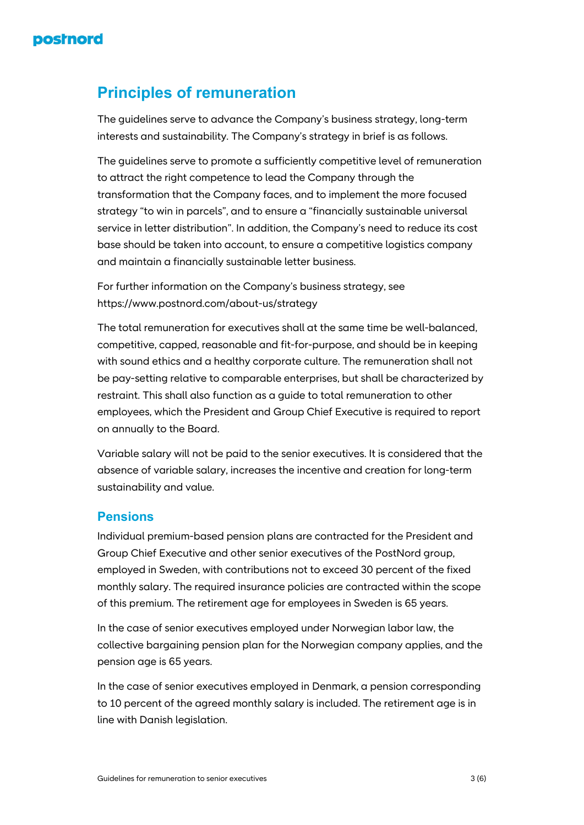

## **Principles of remuneration**

The guidelines serve to advance the Company's business strategy, long-term interests and sustainability. The Company's strategy in brief is as follows.

The guidelines serve to promote a sufficiently competitive level of remuneration to attract the right competence to lead the Company through the transformation that the Company faces, and to implement the more focused strategy "to win in parcels", and to ensure a "financially sustainable universal service in letter distribution". In addition, the Company's need to reduce its cost base should be taken into account, to ensure a competitive logistics company and maintain a financially sustainable letter business.

For further information on the Company's business strategy, see https://www.postnord.com/about-us/strategy

The total remuneration for executives shall at the same time be well-balanced, competitive, capped, reasonable and fit-for-purpose, and should be in keeping with sound ethics and a healthy corporate culture. The remuneration shall not be pay-setting relative to comparable enterprises, but shall be characterized by restraint. This shall also function as a guide to total remuneration to other employees, which the President and Group Chief Executive is required to report on annually to the Board.

Variable salary will not be paid to the senior executives. It is considered that the absence of variable salary, increases the incentive and creation for long-term sustainability and value.

#### **Pensions**

Individual premium-based pension plans are contracted for the President and Group Chief Executive and other senior executives of the PostNord group, employed in Sweden, with contributions not to exceed 30 percent of the fixed monthly salary. The required insurance policies are contracted within the scope of this premium. The retirement age for employees in Sweden is 65 years.

In the case of senior executives employed under Norwegian labor law, the collective bargaining pension plan for the Norwegian company applies, and the pension age is 65 years.

In the case of senior executives employed in Denmark, a pension corresponding to 10 percent of the agreed monthly salary is included. The retirement age is in line with Danish legislation.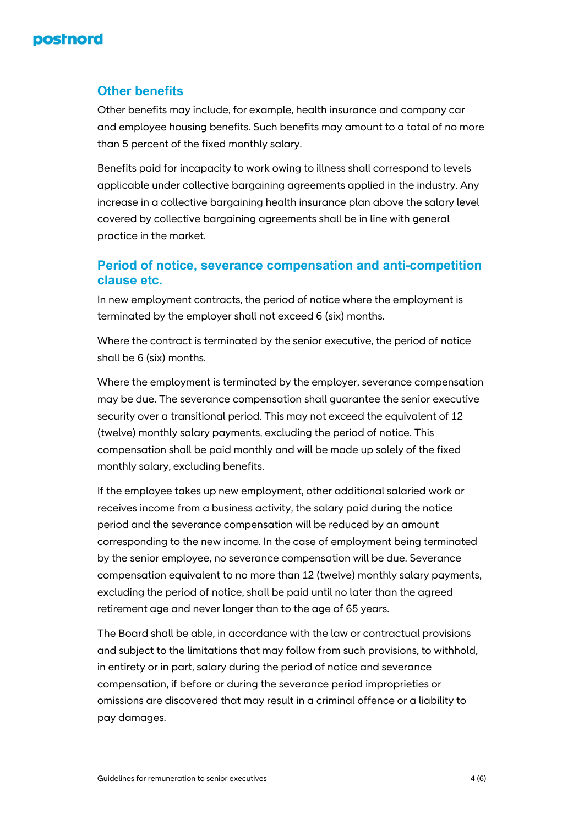

#### **Other benefits**

Other benefits may include, for example, health insurance and company car and employee housing benefits. Such benefits may amount to a total of no more than 5 percent of the fixed monthly salary.

Benefits paid for incapacity to work owing to illness shall correspond to levels applicable under collective bargaining agreements applied in the industry. Any increase in a collective bargaining health insurance plan above the salary level covered by collective bargaining agreements shall be in line with general practice in the market.

#### **Period of notice, severance compensation and anti-competition clause etc.**

In new employment contracts, the period of notice where the employment is terminated by the employer shall not exceed 6 (six) months.

Where the contract is terminated by the senior executive, the period of notice shall be 6 (six) months.

Where the employment is terminated by the employer, severance compensation may be due. The severance compensation shall guarantee the senior executive security over a transitional period. This may not exceed the equivalent of 12 (twelve) monthly salary payments, excluding the period of notice. This compensation shall be paid monthly and will be made up solely of the fixed monthly salary, excluding benefits.

If the employee takes up new employment, other additional salaried work or receives income from a business activity, the salary paid during the notice period and the severance compensation will be reduced by an amount corresponding to the new income. In the case of employment being terminated by the senior employee, no severance compensation will be due. Severance compensation equivalent to no more than 12 (twelve) monthly salary payments, excluding the period of notice, shall be paid until no later than the agreed retirement age and never longer than to the age of 65 years.

The Board shall be able, in accordance with the law or contractual provisions and subject to the limitations that may follow from such provisions, to withhold, in entirety or in part, salary during the period of notice and severance compensation, if before or during the severance period improprieties or omissions are discovered that may result in a criminal offence or a liability to pay damages.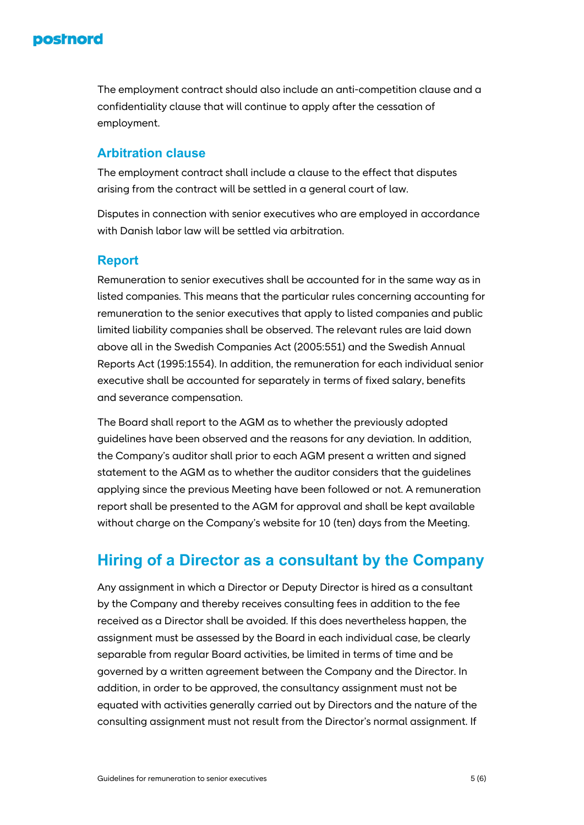### **postnord**

The employment contract should also include an anti-competition clause and a confidentiality clause that will continue to apply after the cessation of employment.

#### **Arbitration clause**

The employment contract shall include a clause to the effect that disputes arising from the contract will be settled in a general court of law.

Disputes in connection with senior executives who are employed in accordance with Danish labor law will be settled via arbitration.

#### **Report**

Remuneration to senior executives shall be accounted for in the same way as in listed companies. This means that the particular rules concerning accounting for remuneration to the senior executives that apply to listed companies and public limited liability companies shall be observed. The relevant rules are laid down above all in the Swedish Companies Act (2005:551) and the Swedish Annual Reports Act (1995:1554). In addition, the remuneration for each individual senior executive shall be accounted for separately in terms of fixed salary, benefits and severance compensation.

The Board shall report to the AGM as to whether the previously adopted guidelines have been observed and the reasons for any deviation. In addition, the Company's auditor shall prior to each AGM present a written and signed statement to the AGM as to whether the auditor considers that the guidelines applying since the previous Meeting have been followed or not. A remuneration report shall be presented to the AGM for approval and shall be kept available without charge on the Company's website for 10 (ten) days from the Meeting.

## **Hiring of a Director as a consultant by the Company**

Any assignment in which a Director or Deputy Director is hired as a consultant by the Company and thereby receives consulting fees in addition to the fee received as a Director shall be avoided. If this does nevertheless happen, the assignment must be assessed by the Board in each individual case, be clearly separable from regular Board activities, be limited in terms of time and be governed by a written agreement between the Company and the Director. In addition, in order to be approved, the consultancy assignment must not be equated with activities generally carried out by Directors and the nature of the consulting assignment must not result from the Director's normal assignment. If